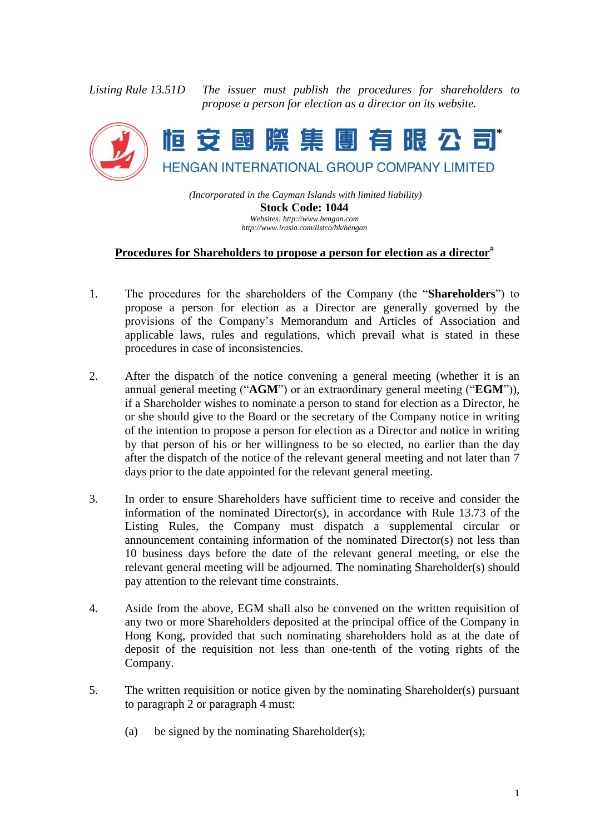*Listing Rule 13.51D The issuer must publish the procedures for shareholders to propose a person for election as a director on its website.*



*(Incorporated in the Cayman Islands with limited liability)* **Stock Code: 1044** *Websites: http://www.hengan.com*

*http://www.irasia.com/listco/hk/hengan*

## **Procedures for Shareholders to propose a person for election as a director**#

- 1. The procedures for the shareholders of the Company (the "**Shareholders**") to propose a person for election as a Director are generally governed by the provisions of the Company's Memorandum and Articles of Association and applicable laws, rules and regulations, which prevail what is stated in these procedures in case of inconsistencies.
- 2. After the dispatch of the notice convening a general meeting (whether it is an annual general meeting ("**AGM**") or an extraordinary general meeting ("**EGM**")), if a Shareholder wishes to nominate a person to stand for election as a Director, he or she should give to the Board or the secretary of the Company notice in writing of the intention to propose a person for election as a Director and notice in writing by that person of his or her willingness to be so elected, no earlier than the day after the dispatch of the notice of the relevant general meeting and not later than 7 days prior to the date appointed for the relevant general meeting.
- 3. In order to ensure Shareholders have sufficient time to receive and consider the information of the nominated Director(s), in accordance with Rule 13.73 of the Listing Rules, the Company must dispatch a supplemental circular or announcement containing information of the nominated Director(s) not less than 10 business days before the date of the relevant general meeting, or else the relevant general meeting will be adjourned. The nominating Shareholder(s) should pay attention to the relevant time constraints.
- 4. Aside from the above, EGM shall also be convened on the written requisition of any two or more Shareholders deposited at the principal office of the Company in Hong Kong, provided that such nominating shareholders hold as at the date of deposit of the requisition not less than one-tenth of the voting rights of the Company.
- 5. The written requisition or notice given by the nominating Shareholder(s) pursuant to paragraph 2 or paragraph 4 must:
	- (a) be signed by the nominating Shareholder(s);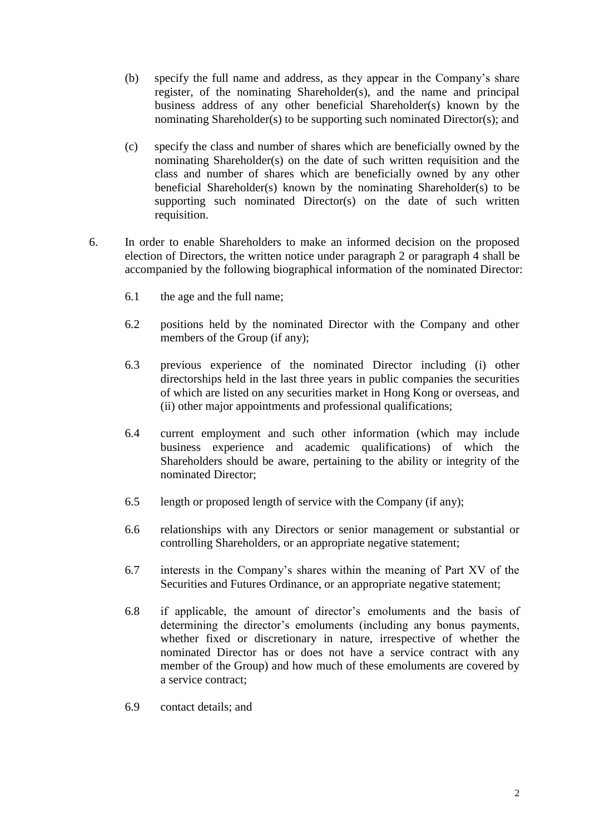- (b) specify the full name and address, as they appear in the Company's share register, of the nominating Shareholder(s), and the name and principal business address of any other beneficial Shareholder(s) known by the nominating Shareholder(s) to be supporting such nominated Director(s); and
- (c) specify the class and number of shares which are beneficially owned by the nominating Shareholder(s) on the date of such written requisition and the class and number of shares which are beneficially owned by any other beneficial Shareholder(s) known by the nominating Shareholder(s) to be supporting such nominated Director(s) on the date of such written requisition.
- 6. In order to enable Shareholders to make an informed decision on the proposed election of Directors, the written notice under paragraph 2 or paragraph 4 shall be accompanied by the following biographical information of the nominated Director:
	- 6.1 the age and the full name;
	- 6.2 positions held by the nominated Director with the Company and other members of the Group (if any);
	- 6.3 previous experience of the nominated Director including (i) other directorships held in the last three years in public companies the securities of which are listed on any securities market in Hong Kong or overseas, and (ii) other major appointments and professional qualifications;
	- 6.4 current employment and such other information (which may include business experience and academic qualifications) of which the Shareholders should be aware, pertaining to the ability or integrity of the nominated Director;
	- 6.5 length or proposed length of service with the Company (if any);
	- 6.6 relationships with any Directors or senior management or substantial or controlling Shareholders, or an appropriate negative statement;
	- 6.7 interests in the Company's shares within the meaning of Part XV of the Securities and Futures Ordinance, or an appropriate negative statement;
	- 6.8 if applicable, the amount of director's emoluments and the basis of determining the director's emoluments (including any bonus payments, whether fixed or discretionary in nature, irrespective of whether the nominated Director has or does not have a service contract with any member of the Group) and how much of these emoluments are covered by a service contract;
	- 6.9 contact details; and